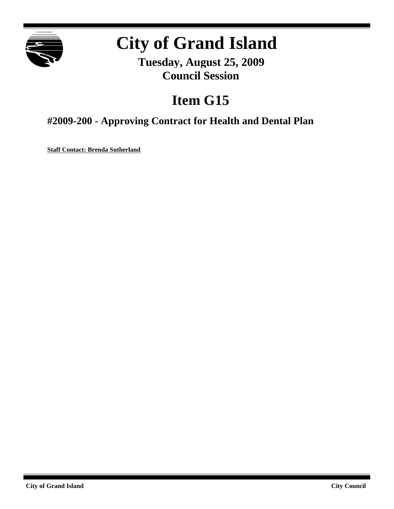

# **City of Grand Island**

**Tuesday, August 25, 2009 Council Session**

## **Item G15**

## **#2009-200 - Approving Contract for Health and Dental Plan**

**Staff Contact: Brenda Sutherland**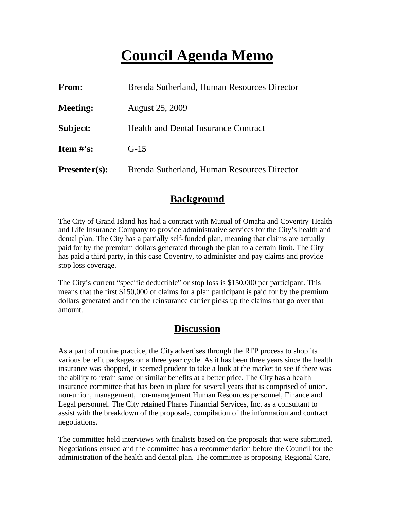## **Council Agenda Memo**

| <b>From:</b>    | Brenda Sutherland, Human Resources Director |
|-----------------|---------------------------------------------|
| <b>Meeting:</b> | <b>August 25, 2009</b>                      |
| Subject:        | <b>Health and Dental Insurance Contract</b> |
| Item $#$ 's:    | $G-15$                                      |
| $Presenter(s):$ | Brenda Sutherland, Human Resources Director |

## **Background**

The City of Grand Island has had a contract with Mutual of Omaha and Coventry Health and Life Insurance Company to provide administrative services for the City's health and dental plan. The City has a partially self-funded plan, meaning that claims are actually paid for by the premium dollars generated through the plan to a certain limit. The City has paid a third party, in this case Coventry, to administer and pay claims and provide stop loss coverage.

The City's current "specific deductible" or stop loss is \$150,000 per participant. This means that the first \$150,000 of claims for a plan participant is paid for by the premium dollars generated and then the reinsurance carrier picks up the claims that go over that amount.

## **Discussion**

As a part of routine practice, the City advertises through the RFP process to shop its various benefit packages on a three year cycle. As it has been three years since the health insurance was shopped, it seemed prudent to take a look at the market to see if there was the ability to retain same or similar benefits at a better price. The City has a health insurance committee that has been in place for several years that is comprised of union, non-union, management, non-management Human Resources personnel, Finance and Legal personnel. The City retained Phares Financial Services, Inc. as a consultant to assist with the breakdown of the proposals, compilation of the information and contract negotiations.

The committee held interviews with finalists based on the proposals that were submitted. Negotiations ensued and the committee has a recommendation before the Council for the administration of the health and dental plan. The committee is proposing Regional Care,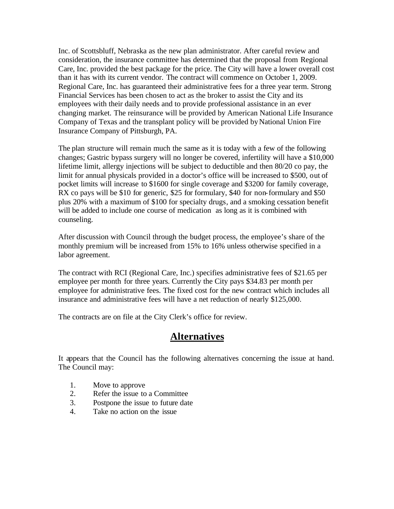Inc. of Scottsbluff, Nebraska as the new plan administrator. After careful review and consideration, the insurance committee has determined that the proposal from Regional Care, Inc. provided the best package for the price. The City will have a lower overall cost than it has with its current vendor. The contract will commence on October 1, 2009. Regional Care, Inc. has guaranteed their administrative fees for a three year term. Strong Financial Services has been chosen to act as the broker to assist the City and its employees with their daily needs and to provide professional assistance in an ever changing market. The reinsurance will be provided by American National Life Insurance Company of Texas and the transplant policy will be provided by National Union Fire Insurance Company of Pittsburgh, PA.

The plan structure will remain much the same as it is today with a few of the following changes; Gastric bypass surgery will no longer be covered, infertility will have a \$10,000 lifetime limit, allergy injections will be subject to deductible and then 80/20 co pay, the limit for annual physicals provided in a doctor's office will be increased to \$500, out of pocket limits will increase to \$1600 for single coverage and \$3200 for family coverage, RX co pays will be \$10 for generic, \$25 for formulary, \$40 for non-formulary and \$50 plus 20% with a maximum of \$100 for specialty drugs, and a smoking cessation benefit will be added to include one course of medication as long as it is combined with counseling.

After discussion with Council through the budget process, the employee's share of the monthly premium will be increased from 15% to 16% unless otherwise specified in a labor agreement.

The contract with RCI (Regional Care, Inc.) specifies administrative fees of \$21.65 per employee per month for three years. Currently the City pays \$34.83 per month per employee for administrative fees. The fixed cost for the new contract which includes all insurance and administrative fees will have a net reduction of nearly \$125,000.

The contracts are on file at the City Clerk's office for review.

#### **Alternatives**

It appears that the Council has the following alternatives concerning the issue at hand. The Council may:

- 1. Move to approve
- 2. Refer the issue to a Committee
- 3. Postpone the issue to future date
- 4. Take no action on the issue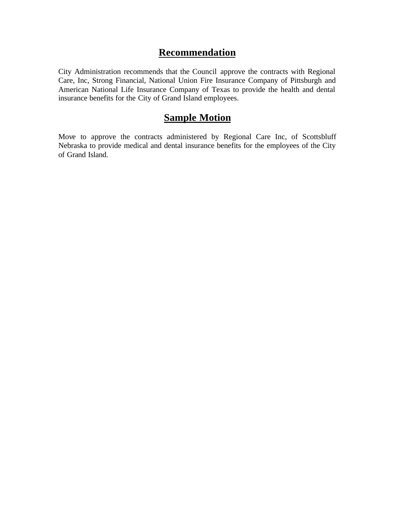#### **Recommendation**

City Administration recommends that the Council approve the contracts with Regional Care, Inc, Strong Financial, National Union Fire Insurance Company of Pittsburgh and American National Life Insurance Company of Texas to provide the health and dental insurance benefits for the City of Grand Island employees.

### **Sample Motion**

Move to approve the contracts administered by Regional Care Inc, of Scottsbluff Nebraska to provide medical and dental insurance benefits for the employees of the City of Grand Island.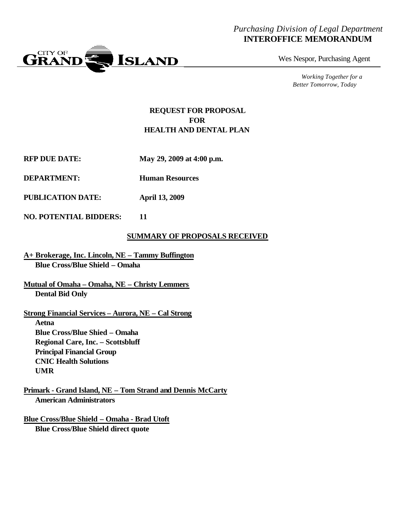#### *Purchasing Division of Legal Department* **INTEROFFICE MEMORANDUM**



Wes Nespor, Purchasing Agent

*Working Together for a Better Tomorrow, Today*

#### **REQUEST FOR PROPOSAL FOR HEALTH AND DENTAL PLAN**

- **RFP DUE DATE: May 29, 2009 at 4:00 p.m.**
- **DEPARTMENT: Human Resources**
- **PUBLICATION DATE: April 13, 2009**
- **NO. POTENTIAL BIDDERS: 11**

#### **SUMMARY OF PROPOSALS RECEIVED**

- **A+ Brokerage, Inc. Lincoln, NE Tammy Buffington Blue Cross/Blue Shield – Omaha**
- **Mutual of Omaha Omaha, NE Christy Lemmers Dental Bid Only**
- **Strong Financial Services Aurora, NE – Cal Strong Aetna Blue Cross/Blue Shied – Omaha Regional Care, Inc. – Scottsbluff Principal Financial Group CNIC Health Solutions UMR**
- **Primark Grand Island, NE Tom Strand and Dennis McCarty American Administrators**

**Blue Cross/Blue Shield – Omaha - Brad Utoft Blue Cross/Blue Shield direct quote**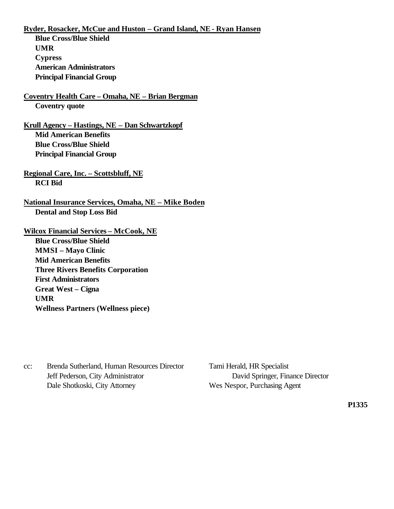**Ryder, Rosacker, McCue and Huston – Grand Island, NE - Ryan Hansen**

**Blue Cross/Blue Shield UMR Cypress American Administrators Principal Financial Group**

**Coventry Health Care – Omaha, NE – Brian Bergman Coventry quote**

**Krull Agency – Hastings, NE – Dan Schwartzkopf Mid American Benefits Blue Cross/Blue Shield Principal Financial Group**

**Regional Care, Inc. – Scottsbluff, NE RCI Bid**

**National Insurance Services, Omaha, NE – Mike Boden Dental and Stop Loss Bid**

**Wilcox Financial Services – McCook, NE**

**Blue Cross/Blue Shield MMSI – Mayo Clinic Mid American Benefits Three Rivers Benefits Corporation First Administrators Great West – Cigna UMR Wellness Partners (Wellness piece)**

cc: Brenda Sutherland, Human Resources Director Tami Herald, HR Specialist Jeff Pederson, City Administrator David Springer, Finance Director Dale Shotkoski, City Attorney Wes Nespor, Purchasing Agent

**P1335**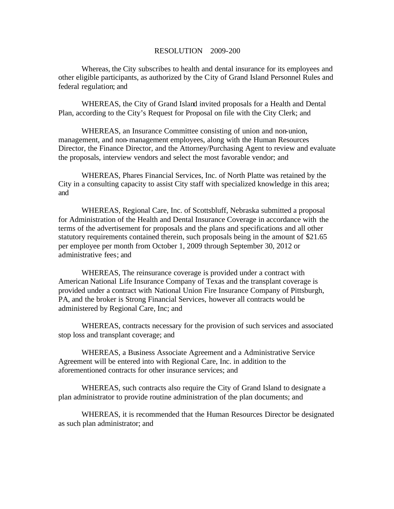#### RESOLUTION 2009-200

Whereas, the City subscribes to health and dental insurance for its employees and other eligible participants, as authorized by the City of Grand Island Personnel Rules and federal regulation; and

WHEREAS, the City of Grand Island invited proposals for a Health and Dental Plan, according to the City's Request for Proposal on file with the City Clerk; and

WHEREAS, an Insurance Committee consisting of union and non-union, management, and non-management employees, along with the Human Resources Director, the Finance Director, and the Attorney/Purchasing Agent to review and evaluate the proposals, interview vendors and select the most favorable vendor; and

WHEREAS, Phares Financial Services, Inc. of North Platte was retained by the City in a consulting capacity to assist City staff with specialized knowledge in this area; and

WHEREAS, Regional Care, Inc. of Scottsbluff, Nebraska submitted a proposal for Administration of the Health and Dental Insurance Coverage in accordance with the terms of the advertisement for proposals and the plans and specifications and all other statutory requirements contained therein, such proposals being in the amount of \$21.65 per employee per month from October 1, 2009 through September 30, 2012 or administrative fees; and

WHEREAS, The reinsurance coverage is provided under a contract with American National Life Insurance Company of Texas and the transplant coverage is provided under a contract with National Union Fire Insurance Company of Pittsburgh, PA, and the broker is Strong Financial Services, however all contracts would be administered by Regional Care, Inc; and

WHEREAS, contracts necessary for the provision of such services and associated stop loss and transplant coverage; and

WHEREAS, a Business Associate Agreement and a Administrative Service Agreement will be entered into with Regional Care, Inc. in addition to the aforementioned contracts for other insurance services; and

WHEREAS, such contracts also require the City of Grand Island to designate a plan administrator to provide routine administration of the plan documents; and

WHEREAS, it is recommended that the Human Resources Director be designated as such plan administrator; and